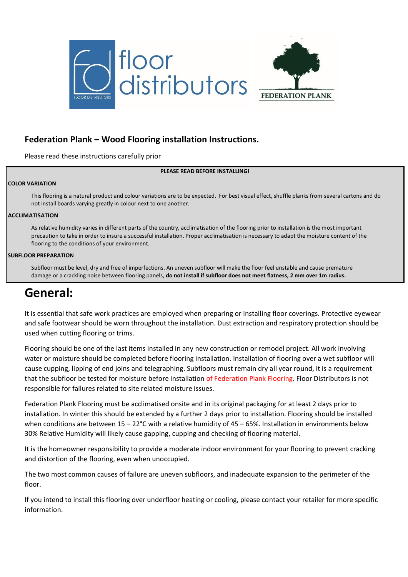



### **Federation Plank – Wood Flooring installation Instructions.**

Please read these instructions carefully prior

### **PLEASE READ BEFORE INSTALLING!**

### **COLOR VARIATION**

This flooring is a natural product and colour variations are to be expected. For best visual effect, shuffle planks from several cartons and do not install boards varying greatly in colour next to one another.

### **ACCLIMATISATION**

As relative humidity varies in different parts of the country, acclimatisation of the flooring prior to installation is the most important precaution to take in order to insure a successful installation. Proper acclimatisation is necessary to adapt the moisture content of the flooring to the conditions of your environment.

#### **SUBFLOOR PREPARATION**

Subfloor must be level, dry and free of imperfections. An uneven subfloor will make the floor feel unstable and cause premature damage or a crackling noise between flooring panels, **do not install if subfloor does not meet flatness, 2 mm over 1m radius.**

## **General:**

It is essential that safe work practices are employed when preparing or installing floor coverings. Protective eyewear and safe footwear should be worn throughout the installation. Dust extraction and respiratory protection should be used when cutting flooring or trims.

Flooring should be one of the last items installed in any new construction or remodel project. All work involving water or moisture should be completed before flooring installation. Installation of flooring over a wet subfloor will cause cupping, lipping of end joins and telegraphing. Subfloors must remain dry all year round, it is a requirement that the subfloor be tested for moisture before installation of Federation Plank Flooring. Floor Distributors is not responsible for failures related to site related moisture issues.

Federation Plank Flooring must be acclimatised onsite and in its original packaging for at least 2 days prior to installation. In winter this should be extended by a further 2 days prior to installation. Flooring should be installed when conditions are between 15 – 22°C with a relative humidity of 45 – 65%. Installation in environments below 30% Relative Humidity will likely cause gapping, cupping and checking of flooring material.

It is the homeowner responsibility to provide a moderate indoor environment for your flooring to prevent cracking and distortion of the flooring, even when unoccupied.

The two most common causes of failure are uneven subfloors, and inadequate expansion to the perimeter of the floor.

If you intend to install this flooring over underfloor heating or cooling, please contact your retailer for more specific information.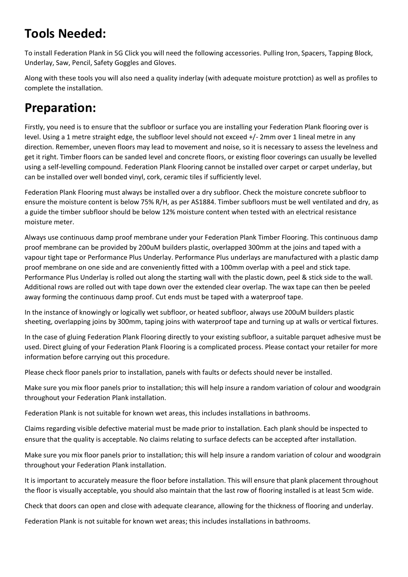# **Tools Needed:**

To install Federation Plank in 5G Click you will need the following accessories. Pulling Iron, Spacers, Tapping Block, Underlay, Saw, Pencil, Safety Goggles and Gloves.

Along with these tools you will also need a quality inderlay (with adequate moisture protction) as well as profiles to complete the installation.

# **Preparation:**

Firstly, you need is to ensure that the subfloor or surface you are installing your Federation Plank flooring over is level. Using a 1 metre straight edge, the subfloor level should not exceed +/- 2mm over 1 lineal metre in any direction. Remember, uneven floors may lead to movement and noise, so it is necessary to assess the levelness and get it right. Timber floors can be sanded level and concrete floors, or existing floor coverings can usually be levelled using a self-levelling compound. Federation Plank Flooring cannot be installed over carpet or carpet underlay, but can be installed over well bonded vinyl, cork, ceramic tiles if sufficiently level.

Federation Plank Flooring must always be installed over a dry subfloor. Check the moisture concrete subfloor to ensure the moisture content is below 75% R/H, as per AS1884. Timber subfloors must be well ventilated and dry, as a guide the timber subfloor should be below 12% moisture content when tested with an electrical resistance moisture meter.

Always use continuous damp proof membrane under your Federation Plank Timber Flooring. This continuous damp proof membrane can be provided by 200uM builders plastic, overlapped 300mm at the joins and taped with a vapour tight tape or Performance Plus Underlay. Performance Plus underlays are manufactured with a plastic damp proof membrane on one side and are conveniently fitted with a 100mm overlap with a peel and stick tape. Performance Plus Underlay is rolled out along the starting wall with the plastic down, peel & stick side to the wall. Additional rows are rolled out with tape down over the extended clear overlap. The wax tape can then be peeled away forming the continuous damp proof. Cut ends must be taped with a waterproof tape.

In the instance of knowingly or logically wet subfloor, or heated subfloor, always use 200uM builders plastic sheeting, overlapping joins by 300mm, taping joins with waterproof tape and turning up at walls or vertical fixtures.

In the case of gluing Federation Plank Flooring directly to your existing subfloor, a suitable parquet adhesive must be used. Direct gluing of your Federation Plank Flooring is a complicated process. Please contact your retailer for more information before carrying out this procedure.

Please check floor panels prior to installation, panels with faults or defects should never be installed.

Make sure you mix floor panels prior to installation; this will help insure a random variation of colour and woodgrain throughout your Federation Plank installation.

Federation Plank is not suitable for known wet areas, this includes installations in bathrooms.

Claims regarding visible defective material must be made prior to installation. Each plank should be inspected to ensure that the quality is acceptable. No claims relating to surface defects can be accepted after installation.

Make sure you mix floor panels prior to installation; this will help insure a random variation of colour and woodgrain throughout your Federation Plank installation.

It is important to accurately measure the floor before installation. This will ensure that plank placement throughout the floor is visually acceptable, you should also maintain that the last row of flooring installed is at least 5cm wide.

Check that doors can open and close with adequate clearance, allowing for the thickness of flooring and underlay.

Federation Plank is not suitable for known wet areas; this includes installations in bathrooms.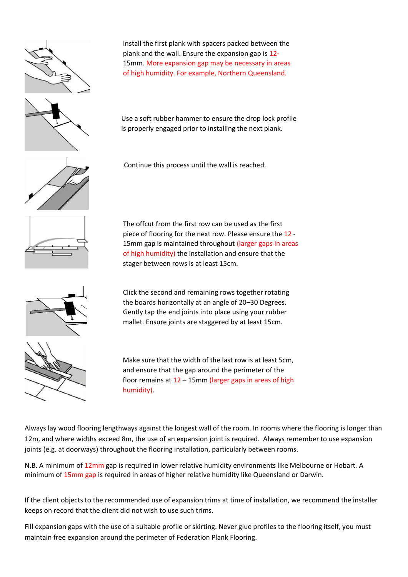

Install the first plank with spacers packed between the plank and the wall. Ensure the expansion gap is 12- 15mm. More expansion gap may be necessary in areas of high humidity. For example, Northern Queensland.

Use a soft rubber hammer to ensure the drop lock profile is properly engaged prior to installing the next plank.

Continue this process until the wall is reached.

The offcut from the first row can be used as the first piece of flooring for the next row. Please ensure the 12 - 15mm gap is maintained throughout (larger gaps in areas of high humidity) the installation and ensure that the

stager between rows is at least 15cm.

Click the second and remaining rows together rotating the boards horizontally at an angle of 20–30 Degrees. Gently tap the end joints into place using your rubber

mallet. Ensure joints are staggered by at least 15cm.

Make sure that the width of the last row is at least 5cm, and ensure that the gap around the perimeter of the floor remains at 12 – 15mm (larger gaps in areas of high humidity).

Always lay wood flooring lengthways against the longest wall of the room. In rooms where the flooring is longer than 12m, and where widths exceed 8m, the use of an expansion joint is required. Always remember to use expansion joints (e.g. at doorways) throughout the flooring installation, particularly between rooms.

N.B. A minimum of 12mm gap is required in lower relative humidity environments like Melbourne or Hobart. A minimum of 15mm gap is required in areas of higher relative humidity like Queensland or Darwin.

If the client objects to the recommended use of expansion trims at time of installation, we recommend the installer keeps on record that the client did not wish to use such trims.

Fill expansion gaps with the use of a suitable profile or skirting. Never glue profiles to the flooring itself, you must maintain free expansion around the perimeter of Federation Plank Flooring.